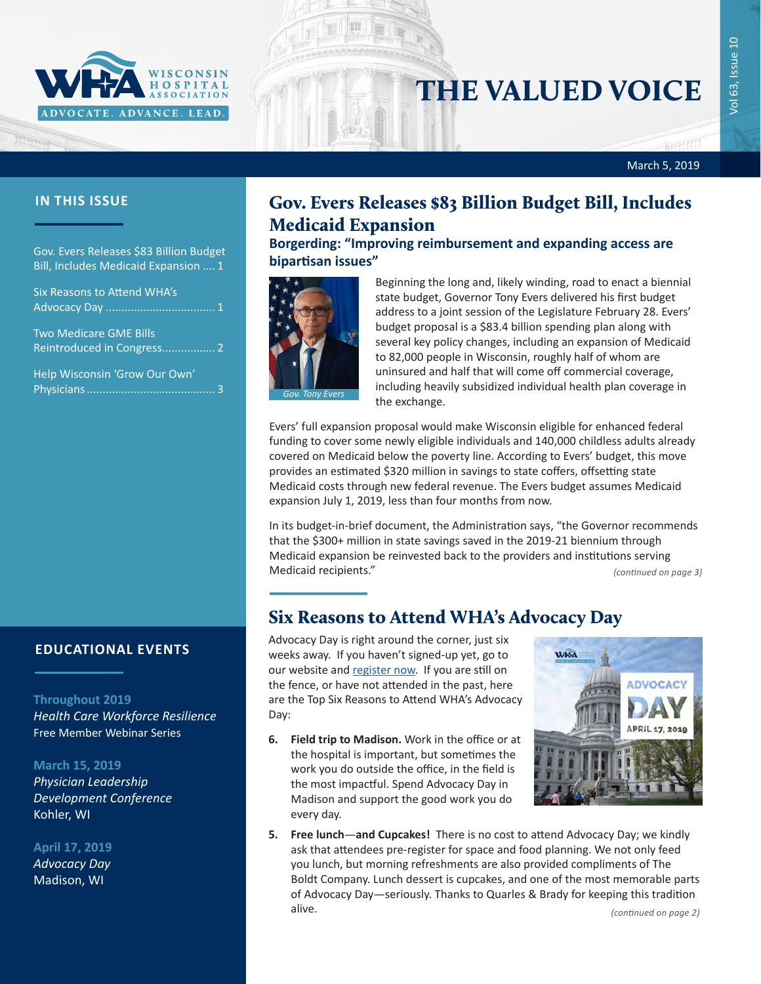

# THE VALUED VOICE

#### March 5, 2019

Gov. Evers Releases \$83 Billion Budget Bill, Includes Medicaid Expansion .... 1

| <b>Six Reasons to Attend WHA's</b> |  |
|------------------------------------|--|
|                                    |  |

[Two Medicare GME Bills](#page-1-0)  [Reintroduced in Congress.................](#page-1-0) 2

[Help Wisconsin 'Grow Our Own'](#page-2-0)  [Physicians.........................................](#page-2-0) 3

## **EDUCATIONAL EVENTS**

#### **Throughout 2019**

*[Health Care Workforce Resilience](http://www.whareg4.org/WorkforceResilience/)* Free Member Webinar Series

### **March 15, 2019**

*[Physician Leadership](http://www.cvent.com/events/19l-pldc-03-15-16/event-summary-cce6c95196974bcc87660b15b6e87c43.aspx)  [Development Conference](http://www.cvent.com/events/19l-pldc-03-15-16/event-summary-cce6c95196974bcc87660b15b6e87c43.aspx)* Kohler, WI

**April 17, 2019**

*[Advocacy Day](http://www.whareg4.org/AdvocacyDay2019/)* Madison, WI

## **IN THIS ISSUE Gov. Evers Releases \$83 Billion Budget Bill, Includes** Medicaid Expansion

**Borgerding: "Improving reimbursement and expanding access are bipartisan issues"**



Beginning the long and, likely winding, road to enact a biennial state budget, Governor Tony Evers delivered his first budget address to a joint session of the Legislature February 28. Evers' budget proposal is a \$83.4 billion spending plan along with several key policy changes, including an expansion of Medicaid to 82,000 people in Wisconsin, roughly half of whom are uninsured and half that will come off commercial coverage, including heavily subsidized individual health plan coverage in the exchange.

Evers' full expansion proposal would make Wisconsin eligible for enhanced federal funding to cover some newly eligible individuals and 140,000 childless adults already covered on Medicaid below the poverty line. According to Evers' budget, this move provides an estimated \$320 million in savings to state coffers, offsetting state Medicaid costs through new federal revenue. The Evers budget assumes Medicaid expansion July 1, 2019, less than four months from now.

In its budget-in-brief document, the Administration says, "the Governor recommends that the \$300+ million in state savings saved in the 2019-21 biennium through Medicaid expansion be reinvested back to the providers and institutions serving Medicaid recipients." *(continued on page 3)*

## Six Reasons to Attend WHA's Advocacy Day

Advocacy Day is right around the corner, just six weeks away. If you haven't signed-up yet, go to our website and [register now](https://www.wha.org/EducationandEvents). If you are still on the fence, or have not attended in the past, here are the Top Six Reasons to Attend WHA's Advocacy Day:

**6. Field trip to Madison.** Work in the office or at the hospital is important, but sometimes the work you do outside the office, in the field is the most impactful. Spend Advocacy Day in Madison and support the good work you do every day.



**5. Free lunch**—**and Cupcakes!** There is no cost to attend Advocacy Day; we kindly ask that attendees pre-register for space and food planning. We not only feed you lunch, but morning refreshments are also provided compliments of The Boldt Company. Lunch dessert is cupcakes, and one of the most memorable parts of Advocacy Day—seriously. Thanks to Quarles & Brady for keeping this tradition alive.

*(continued on page 2)*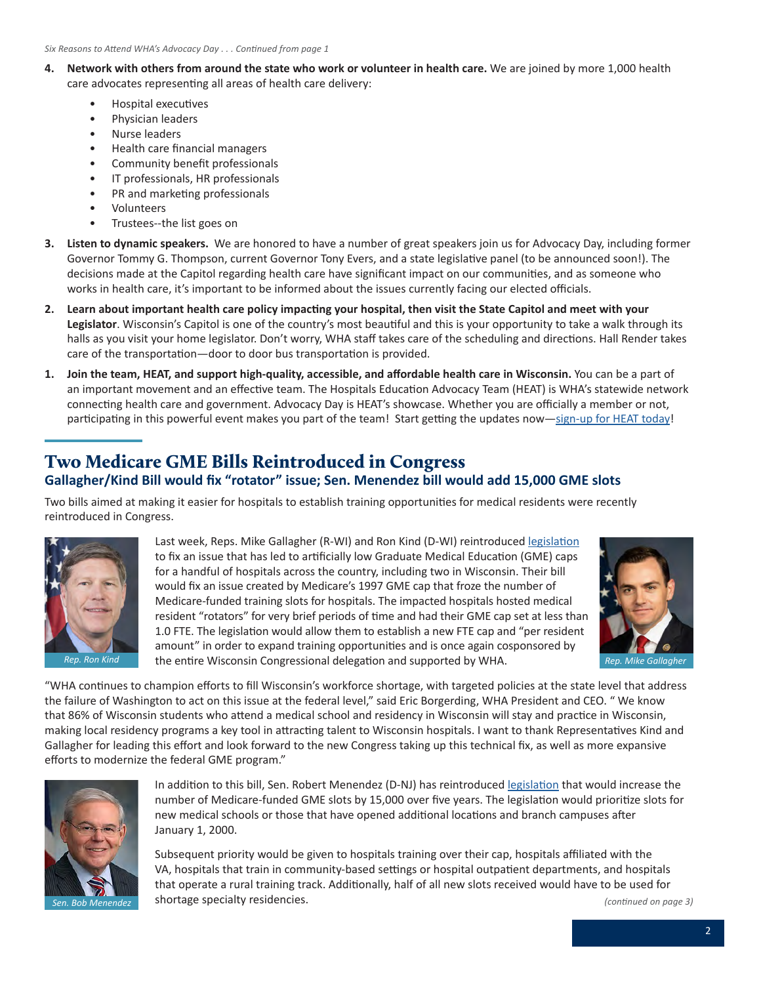- <span id="page-1-0"></span>**4. Network with others from around the state who work or volunteer in health care.** We are joined by more 1,000 health care advocates representing all areas of health care delivery:
	- Hospital executives
	- Physician leaders
	- Nurse leaders
	- Health care financial managers
	- Community benefit professionals
	- IT professionals, HR professionals
	- PR and marketing professionals
	- Volunteers
	- Trustees--the list goes on
- **3. Listen to dynamic speakers.** We are honored to have a number of great speakers join us for Advocacy Day, including former Governor Tommy G. Thompson, current Governor Tony Evers, and a state legislative panel (to be announced soon!). The decisions made at the Capitol regarding health care have significant impact on our communities, and as someone who works in health care, it's important to be informed about the issues currently facing our elected officials.
- **2. Learn about important health care policy impacting your hospital, then visit the State Capitol and meet with your Legislator**. Wisconsin's Capitol is one of the country's most beautiful and this is your opportunity to take a walk through its halls as you visit your home legislator. Don't worry, WHA staff takes care of the scheduling and directions. Hall Render takes care of the transportation—door to door bus transportation is provided.
- **1. Join the team, HEAT, and support high-quality, accessible, and affordable health care in Wisconsin.** You can be a part of an important movement and an effective team. The Hospitals Education Advocacy Team (HEAT) is WHA's statewide network connecting health care and government. Advocacy Day is HEAT's showcase. Whether you are officially a member or not, participating in this powerful event makes you part of the team! Start getting the updates now—[sign-up for HEAT today](https://www.wha.org/EngageInAdvocacy/EngageinAdvocacy)!

## Two Medicare GME Bills Reintroduced in Congress

## **Gallagher/Kind Bill would fix "rotator" issue; Sen. Menendez bill would add 15,000 GME slots**

Two bills aimed at making it easier for hospitals to establish training opportunities for medical residents were recently reintroduced in Congress.



Last week, Reps. Mike Gallagher (R-WI) and Ron Kind (D-WI) reintroduced [legislation](https://gallagher.house.gov/sites/gallagher.house.gov/files/GME%20Bill.pdf) to fix an issue that has led to artificially low Graduate Medical Education (GME) caps for a handful of hospitals across the country, including two in Wisconsin. Their bill would fix an issue created by Medicare's 1997 GME cap that froze the number of Medicare-funded training slots for hospitals. The impacted hospitals hosted medical resident "rotators" for very brief periods of time and had their GME cap set at less than 1.0 FTE. The legislation would allow them to establish a new FTE cap and "per resident amount" in order to expand training opportunities and is once again cosponsored by the entire Wisconsin Congressional delegation and supported by WHA. *Rep. Ron Kind Rep. Mike Gallagher*



"WHA continues to champion efforts to fill Wisconsin's workforce shortage, with targeted policies at the state level that address the failure of Washington to act on this issue at the federal level," said Eric Borgerding, WHA President and CEO. " We know that 86% of Wisconsin students who attend a medical school and residency in Wisconsin will stay and practice in Wisconsin, making local residency programs a key tool in attracting talent to Wisconsin hospitals. I want to thank Representatives Kind and Gallagher for leading this effort and look forward to the new Congress taking up this technical fix, as well as more expansive efforts to modernize the federal GME program."



In addition to this bill, Sen. Robert Menendez (D-NJ) has reintroduced [legislation](https://www.menendez.senate.gov/news-and-events/press/menendez-boozman-schumer-introduce-bipartisan-legislation-to-combat-doctor-shortage-as-crisis-worsens) that would increase the number of Medicare-funded GME slots by 15,000 over five years. The legislation would prioritize slots for new medical schools or those that have opened additional locations and branch campuses after January 1, 2000.

Subsequent priority would be given to hospitals training over their cap, hospitals affiliated with the VA, hospitals that train in community-based settings or hospital outpatient departments, and hospitals that operate a rural training track. Additionally, half of all new slots received would have to be used for Sen. Bob Menendez **by Shortage specialty residencies.** The state of the state of the state of the state of the state of the state of the state of the state of the state of the state of the state of the state of the state o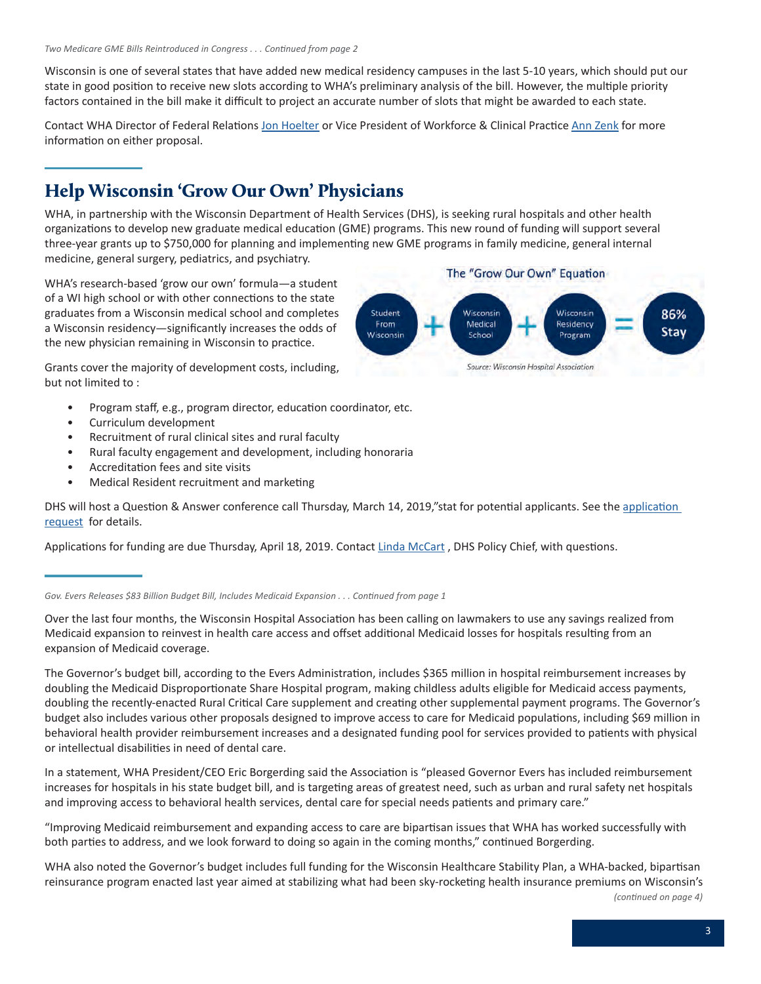<span id="page-2-0"></span>Wisconsin is one of several states that have added new medical residency campuses in the last 5-10 years, which should put our state in good position to receive new slots according to WHA's preliminary analysis of the bill. However, the multiple priority factors contained in the bill make it difficult to project an accurate number of slots that might be awarded to each state.

Contact WHA Director of Federal Relations [Jon Hoelter](mailto:jhoelter@wha.org) or Vice President of Workforce & Clinical Practice [Ann Zenk](mailto:azenk@wha.org) for more information on either proposal.

## Help Wisconsin 'Grow Our Own' Physicians

WHA, in partnership with the Wisconsin Department of Health Services (DHS), is seeking rural hospitals and other health organizations to develop new graduate medical education (GME) programs. This new round of funding will support several three-year grants up to \$750,000 for planning and implementing new GME programs in family medicine, general internal medicine, general surgery, pediatrics, and psychiatry.

WHA's research-based 'grow our own' formula—a student of a WI high school or with other connections to the state graduates from a Wisconsin medical school and completes a Wisconsin residency—significantly increases the odds of the new physician remaining in Wisconsin to practice.

Grants cover the majority of development costs, including, but not limited to :

- Program staff, e.g., program director, education coordinator, etc.
- Curriculum development
- Recruitment of rural clinical sites and rural faculty
- Rural faculty engagement and development, including honoraria
- Accreditation fees and site visits
- Medical Resident recruitment and marketing

DHS will host a Question & Answer conference call Thursday, March 14, 2019,"stat for potential applicants. See the application [request](http://www.publicnotices.wi.gov/GetAttachment.asp?aid=2086&lnid=1534133) for details.

Applications for funding are due Thursday, April 18, 2019. Contact [Linda McCart](mailto:Linda.McCart@dhs.wisconsin.gov), DHS Policy Chief, with questions.

#### *Gov. Evers Releases \$83 Billion Budget Bill, Includes Medicaid Expansion . . . Continued from page 1*

Over the last four months, the Wisconsin Hospital Association has been calling on lawmakers to use any savings realized from Medicaid expansion to reinvest in health care access and offset additional Medicaid losses for hospitals resulting from an expansion of Medicaid coverage.

The Governor's budget bill, according to the Evers Administration, includes \$365 million in hospital reimbursement increases by doubling the Medicaid Disproportionate Share Hospital program, making childless adults eligible for Medicaid access payments, doubling the recently-enacted Rural Critical Care supplement and creating other supplemental payment programs. The Governor's budget also includes various other proposals designed to improve access to care for Medicaid populations, including \$69 million in behavioral health provider reimbursement increases and a designated funding pool for services provided to patients with physical or intellectual disabilities in need of dental care.

In a statement, WHA President/CEO Eric Borgerding said the Association is "pleased Governor Evers has included reimbursement increases for hospitals in his state budget bill, and is targeting areas of greatest need, such as urban and rural safety net hospitals and improving access to behavioral health services, dental care for special needs patients and primary care."

"Improving Medicaid reimbursement and expanding access to care are bipartisan issues that WHA has worked successfully with both parties to address, and we look forward to doing so again in the coming months," continued Borgerding.

WHA also noted the Governor's budget includes full funding for the Wisconsin Healthcare Stability Plan, a WHA-backed, bipartisan reinsurance program enacted last year aimed at stabilizing what had been sky-rocketing health insurance premiums on Wisconsin's *(continued on page 4)*